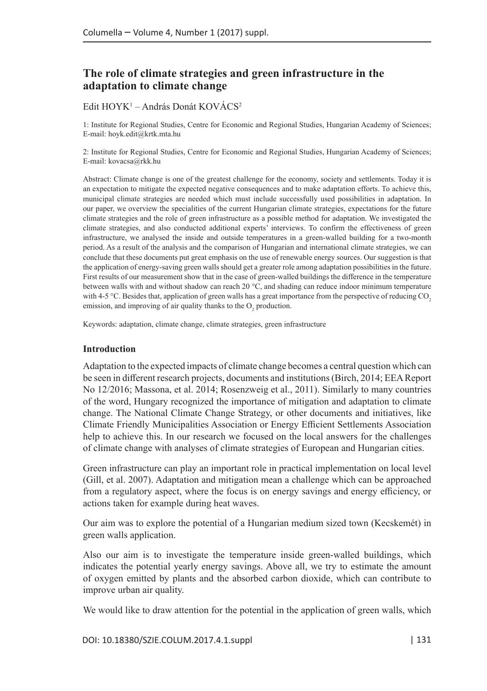# **The role of climate strategies and green infrastructure in the adaptation to climate change**

## Edit HOYK<sup>1</sup> – András Donát KOVÁCS<sup>2</sup>

1: Institute for Regional Studies, Centre for Economic and Regional Studies, Hungarian Academy of Sciences; E-mail: hoyk.edit@krtk.mta.hu

2: Institute for Regional Studies, Centre for Economic and Regional Studies, Hungarian Academy of Sciences; E-mail: kovacsa@rkk.hu

Abstract: Climate change is one of the greatest challenge for the economy, society and settlements. Today it is an expectation to mitigate the expected negative consequences and to make adaptation efforts. To achieve this, municipal climate strategies are needed which must include successfully used possibilities in adaptation. In our paper, we overview the specialities of the current Hungarian climate strategies, expectations for the future climate strategies and the role of green infrastructure as a possible method for adaptation. We investigated the climate strategies, and also conducted additional experts' interviews. To confirm the effectiveness of green infrastructure, we analysed the inside and outside temperatures in a green-walled building for a two-month period. As a result of the analysis and the comparison of Hungarian and international climate strategies, we can conclude that these documents put great emphasis on the use of renewable energy sources. Our suggestion is that the application of energy-saving green walls should get a greater role among adaptation possibilities in the future. First results of our measurement show that in the case of green-walled buildings the difference in the temperature between walls with and without shadow can reach 20 °C, and shading can reduce indoor minimum temperature with 4-5 °C. Besides that, application of green walls has a great importance from the perspective of reducing CO<sub>2</sub> emission, and improving of air quality thanks to the  $O_2$  production.

Keywords: adaptation, climate change, climate strategies, green infrastructure

#### **Introduction**

Adaptation to the expected impacts of climate change becomes a central question which can be seen in different research projects, documents and institutions (Birch, 2014; EEA Report No 12/2016; Massona, et al. 2014; Rosenzweig et al., 2011). Similarly to many countries of the word, Hungary recognized the importance of mitigation and adaptation to climate change. The National Climate Change Strategy, or other documents and initiatives, like Climate Friendly Municipalities Association or Energy Efficient Settlements Association help to achieve this. In our research we focused on the local answers for the challenges of climate change with analyses of climate strategies of European and Hungarian cities.

Green infrastructure can play an important role in practical implementation on local level (Gill, et al. 2007). Adaptation and mitigation mean a challenge which can be approached from a regulatory aspect, where the focus is on energy savings and energy efficiency, or actions taken for example during heat waves.

Our aim was to explore the potential of a Hungarian medium sized town (Kecskemét) in green walls application.

Also our aim is to investigate the temperature inside green-walled buildings, which indicates the potential yearly energy savings. Above all, we try to estimate the amount of oxygen emitted by plants and the absorbed carbon dioxide, which can contribute to improve urban air quality.

We would like to draw attention for the potential in the application of green walls, which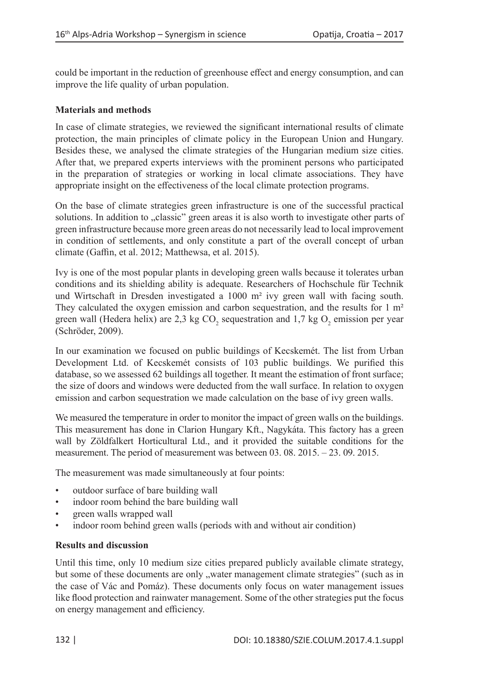could be important in the reduction of greenhouse effect and energy consumption, and can improve the life quality of urban population.

## **Materials and methods**

In case of climate strategies, we reviewed the significant international results of climate protection, the main principles of climate policy in the European Union and Hungary. Besides these, we analysed the climate strategies of the Hungarian medium size cities. After that, we prepared experts interviews with the prominent persons who participated in the preparation of strategies or working in local climate associations. They have appropriate insight on the effectiveness of the local climate protection programs.

On the base of climate strategies green infrastructure is one of the successful practical solutions. In addition to "classic" green areas it is also worth to investigate other parts of green infrastructure because more green areas do not necessarily lead to local improvement in condition of settlements, and only constitute a part of the overall concept of urban climate (Gaffin, et al. 2012; Matthewsa, et al. 2015).

Ivy is one of the most popular plants in developing green walls because it tolerates urban conditions and its shielding ability is adequate. Researchers of Hochschule für Technik und Wirtschaft in Dresden investigated a 1000 m² ivy green wall with facing south. They calculated the oxygen emission and carbon sequestration, and the results for 1 m<sup>2</sup> green wall (Hedera helix) are 2,3 kg CO<sub>2</sub> sequestration and 1,7 kg O<sub>2</sub> emission per year (Schröder, 2009).

In our examination we focused on public buildings of Kecskemét. The list from Urban Development Ltd. of Kecskemét consists of 103 public buildings. We purified this database, so we assessed 62 buildings all together. It meant the estimation of front surface; the size of doors and windows were deducted from the wall surface. In relation to oxygen emission and carbon sequestration we made calculation on the base of ivy green walls.

We measured the temperature in order to monitor the impact of green walls on the buildings. This measurement has done in Clarion Hungary Kft., Nagykáta. This factory has a green wall by Zöldfalkert Horticultural Ltd., and it provided the suitable conditions for the measurement. The period of measurement was between 03. 08. 2015. – 23. 09. 2015.

The measurement was made simultaneously at four points:

- outdoor surface of bare building wall
- indoor room behind the bare building wall
- green walls wrapped wall
- indoor room behind green walls (periods with and without air condition)

### **Results and discussion**

Until this time, only 10 medium size cities prepared publicly available climate strategy, but some of these documents are only , water management climate strategies" (such as in the case of Vác and Pomáz). These documents only focus on water management issues like flood protection and rainwater management. Some of the other strategies put the focus on energy management and efficiency.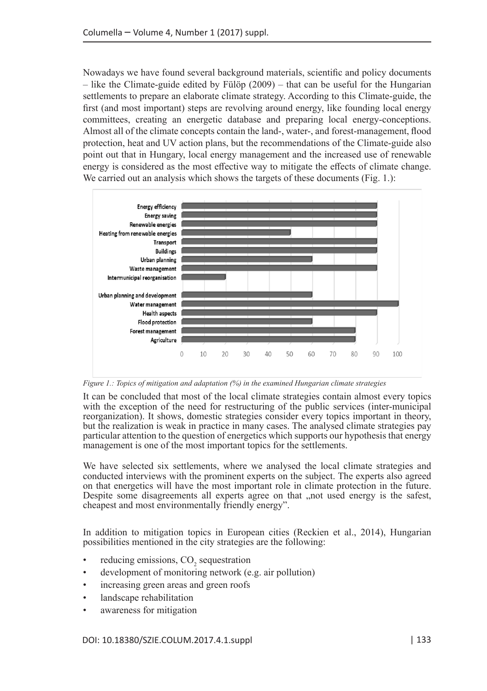Nowadays we have found several background materials, scientific and policy documents  $-$  like the Climate-guide edited by Fülöp (2009) – that can be useful for the Hungarian settlements to prepare an elaborate climate strategy. According to this Climate-guide, the first (and most important) steps are revolving around energy, like founding local energy committees, creating an energetic database and preparing local energy-conceptions. Almost all of the climate concepts contain the land-, water-, and forest-management, flood protection, heat and UV action plans, but the recommendations of the Climate-guide also point out that in Hungary, local energy management and the increased use of renewable energy is considered as the most effective way to mitigate the effects of climate change. We carried out an analysis which shows the targets of these documents (Fig. 1.):



*Figure 1.: Topics of mitigation and adaptation (%) in the examined Hungarian climate strategies*

It can be concluded that most of the local climate strategies contain almost every topics with the exception of the need for restructuring of the public services (inter-municipal reorganization). It shows, domestic strategies consider every topics important in theory, but the realization is weak in practice in many cases. The analysed climate strategies pay particular attention to the question of energetics which supports our hypothesis that energy management is one of the most important topics for the settlements.

We have selected six settlements, where we analysed the local climate strategies and conducted interviews with the prominent experts on the subject. The experts also agreed on that energetics will have the most important role in climate protection in the future. Despite some disagreements all experts agree on that "not used energy is the safest, cheapest and most environmentally friendly energy".

In addition to mitigation topics in European cities (Reckien et al., 2014), Hungarian possibilities mentioned in the city strategies are the following:

- reducing emissions,  $CO_2$  sequestration
- development of monitoring network (e.g. air pollution)
- increasing green areas and green roofs
- landscape rehabilitation
- awareness for mitigation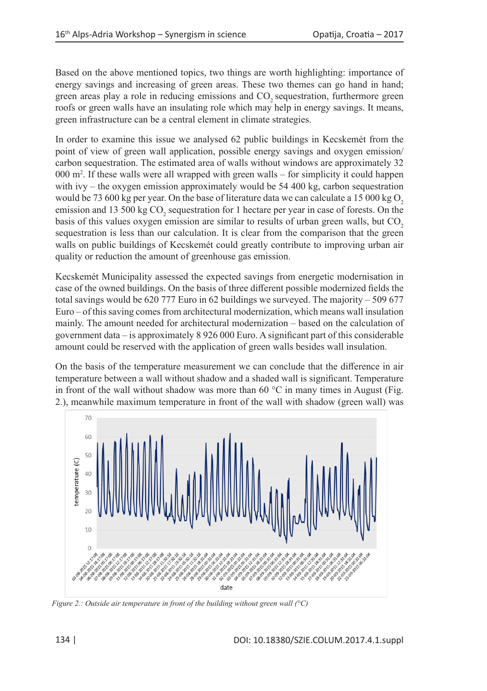Based on the above mentioned topics, two things are worth highlighting: importance of energy savings and increasing of green areas. These two themes can go hand in hand; green areas play a role in reducing emissions and CO<sub>2</sub> sequestration, furthermore green roofs or green walls have an insulating role which may help in energy savings. It means, green infrastructure can be a central element in climate strategies.

In order to examine this issue we analysed 62 public buildings in Kecskemét from the point of view of green wall application, possible energy savings and oxygen emission/ carbon sequestration. The estimated area of walls without windows are approximately 32 000 m2 . If these walls were all wrapped with green walls – for simplicity it could happen with ivy – the oxygen emission approximately would be  $54\,400$  kg, carbon sequestration would be 73 600 kg per year. On the base of literature data we can calculate a 15 000 kg  $O$ , emission and 13 500 kg  $\text{CO}_2$  sequestration for 1 hectare per year in case of forests. On the basis of this values oxygen emission are similar to results of urban green walls, but CO<sub>2</sub> sequestration is less than our calculation. It is clear from the comparison that the green walls on public buildings of Kecskemét could greatly contribute to improving urban air quality or reduction the amount of greenhouse gas emission.

Kecskemét Municipality assessed the expected savings from energetic modernisation in case of the owned buildings. On the basis of three different possible modernized fields the total savings would be 620 777 Euro in 62 buildings we surveyed. The majority – 509 677 Euro – of this saving comes from architectural modernization, which means wall insulation mainly. The amount needed for architectural modernization – based on the calculation of government data – is approximately 8 926 000 Euro. A significant part of this considerable amount could be reserved with the application of green walls besides wall insulation.

On the basis of the temperature measurement we can conclude that the difference in air temperature between a wall without shadow and a shaded wall is significant. Temperature in front of the wall without shadow was more than 60  $\degree$ C in many times in August (Fig. 2.), meanwhile maximum temperature in front of the wall with shadow (green wall) was



*Figure 2.: Outside air temperature in front of the building without green wall (°C)*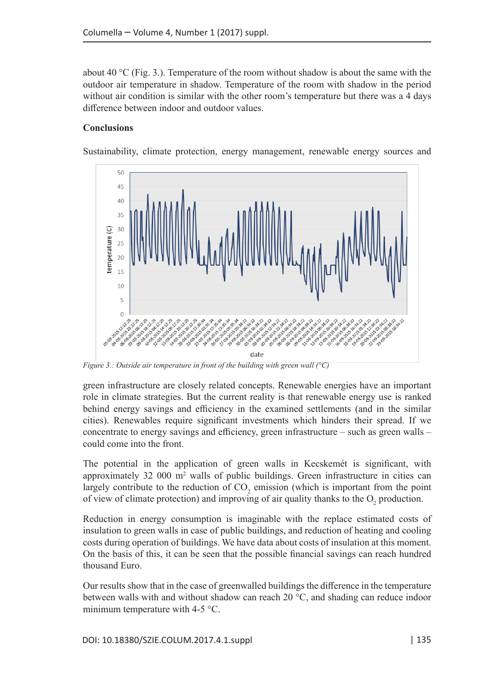about 40 °C (Fig. 3.). Temperature of the room without shadow is about the same with the outdoor air temperature in shadow. Temperature of the room with shadow in the period without air condition is similar with the other room's temperature but there was a 4 days difference between indoor and outdoor values.

## **Conclusions**

Sustainability, climate protection, energy management, renewable energy sources and



*Figure 3.: Outside air temperature in front of the building with green wall (°C)*

green infrastructure are closely related concepts. Renewable energies have an important role in climate strategies. But the current reality is that renewable energy use is ranked behind energy savings and efficiency in the examined settlements (and in the similar cities). Renewables require significant investments which hinders their spread. If we concentrate to energy savings and efficiency, green infrastructure – such as green walls – could come into the front.

The potential in the application of green walls in Kecskemét is significant, with approximately 32 000  $m<sup>2</sup>$  walls of public buildings. Green infrastructure in cities can largely contribute to the reduction of  $CO_2$  emission (which is important from the point of view of climate protection) and improving of air quality thanks to the  $O_2$  production.

Reduction in energy consumption is imaginable with the replace estimated costs of insulation to green walls in case of public buildings, and reduction of heating and cooling costs during operation of buildings. We have data about costs of insulation at this moment. On the basis of this, it can be seen that the possible financial savings can reach hundred thousand Euro.

Our results show that in the case of greenwalled buildings the difference in the temperature between walls with and without shadow can reach 20 °C, and shading can reduce indoor minimum temperature with 4-5 °C.